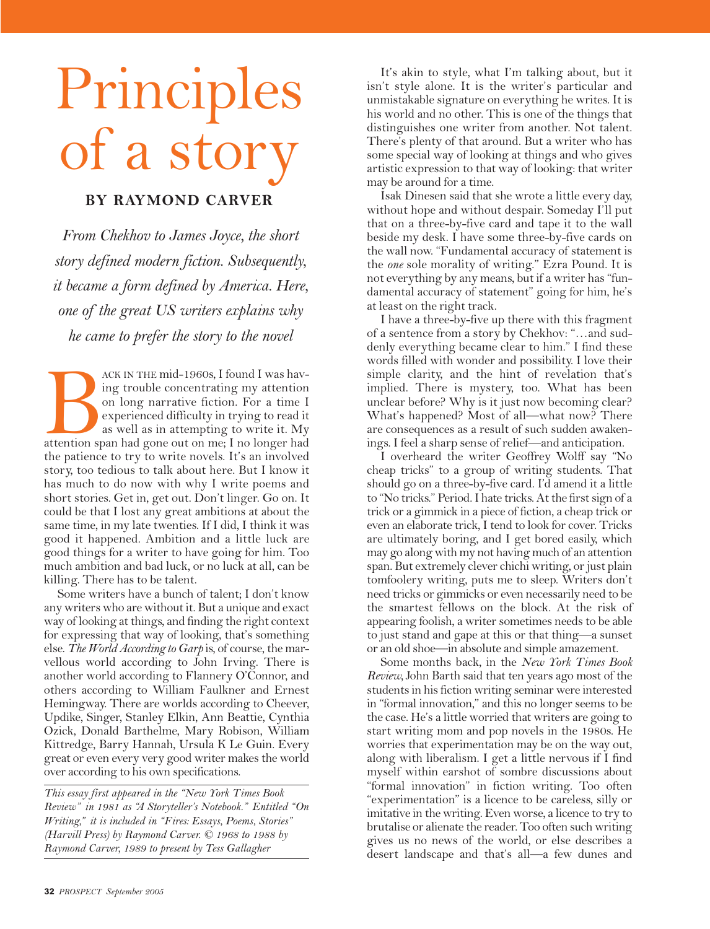## Principles of a story

## **BY RAYMOND CARVER**

*From Chekhov to James Joyce, the short story defined modern fiction. Subsequently, it became a form defined by America. Here, one of the great US writers explains why he came to prefer the story to the novel*

ACK IN THE mid-1960s, I found I was having trouble concentrating my attention<br>on long narrative fiction. For a time I<br>experienced difficulty in trying to read it<br>as well as in attempting to write it. My<br>attention span had ing trouble concentrating my attention on long narrative fiction. For a time I experienced difficulty in trying to read it as well as in attempting to write it. My attention span had gone out on me; I no longer had the patience to try to write novels. It's an involved story, too tedious to talk about here. But I know it has much to do now with why I write poems and short stories. Get in, get out. Don't linger. Go on. It could be that I lost any great ambitions at about the same time, in my late twenties. If I did, I think it was good it happened. Ambition and a little luck are good things for a writer to have going for him. Too much ambition and bad luck, or no luck at all, can be killing. There has to be talent.

Some writers have a bunch of talent; I don't know any writers who are without it. But a unique and exact way of looking at things, and finding the right context for expressing that way of looking, that's something else. *The World According to Garp* is, of course, the marvellous world according to John Irving. There is another world according to Flannery O'Connor, and others according to William Faulkner and Ernest Hemingway. There are worlds according to Cheever, Updike, Singer, Stanley Elkin, Ann Beattie, Cynthia Ozick, Donald Barthelme, Mary Robison, William Kittredge, Barry Hannah, Ursula K Le Guin. Every great or even every very good writer makes the world over according to his own specifications.

*This essay first appeared in the "New York Times Book Review" in 1981 as "A Storyteller's Notebook." Entitled "On Writing," it is included in "Fires: Essays, Poems, Stories" (Harvill Press) by Raymond Carver. © 1968 to 1988 by Raymond Carver, 1989 to present by Tess Gallagher*

It's akin to style, what I'm talking about, but it isn't style alone. It is the writer's particular and unmistakable signature on everything he writes. It is his world and no other. This is one of the things that distinguishes one writer from another. Not talent. There's plenty of that around. But a writer who has some special way of looking at things and who gives artistic expression to that way of looking: that writer may be around for a time.

Isak Dinesen said that she wrote a little every day, without hope and without despair. Someday I'll put that on a three-by-five card and tape it to the wall beside my desk. I have some three-by-five cards on the wall now. "Fundamental accuracy of statement is the *one* sole morality of writing." Ezra Pound. It is not everything by any means, but if a writer has "fundamental accuracy of statement" going for him, he's at least on the right track.

I have a three-by-five up there with this fragment of a sentence from a story by Chekhov: "…and suddenly everything became clear to him." I find these words filled with wonder and possibility. I love their simple clarity, and the hint of revelation that's implied. There is mystery, too. What has been unclear before? Why is it just now becoming clear? What's happened? Most of all—what now? There are consequences as a result of such sudden awakenings. I feel a sharp sense of relief—and anticipation.

I overheard the writer Geoffrey Wolff say "No cheap tricks" to a group of writing students. That should go on a three-by-five card. I'd amend it a little to "No tricks." Period. I hate tricks. At the first sign of a trick or a gimmick in a piece of fiction, a cheap trick or even an elaborate trick, I tend to look for cover. Tricks are ultimately boring, and I get bored easily, which may go along with my not having much of an attention span. But extremely clever chichi writing, or just plain tomfoolery writing, puts me to sleep. Writers don't need tricks or gimmicks or even necessarily need to be the smartest fellows on the block. At the risk of appearing foolish, a writer sometimes needs to be able to just stand and gape at this or that thing—a sunset or an old shoe—in absolute and simple amazement.

Some months back, in the *New York Times Book Review,* John Barth said that ten years ago most of the students in his fiction writing seminar were interested in "formal innovation," and this no longer seems to be the case. He's a little worried that writers are going to start writing mom and pop novels in the 1980s. He worries that experimentation may be on the way out, along with liberalism. I get a little nervous if I find myself within earshot of sombre discussions about "formal innovation" in fiction writing. Too often "experimentation" is a licence to be careless, silly or imitative in the writing. Even worse, a licence to try to brutalise or alienate the reader. Too often such writing gives us no news of the world, or else describes a desert landscape and that's all—a few dunes and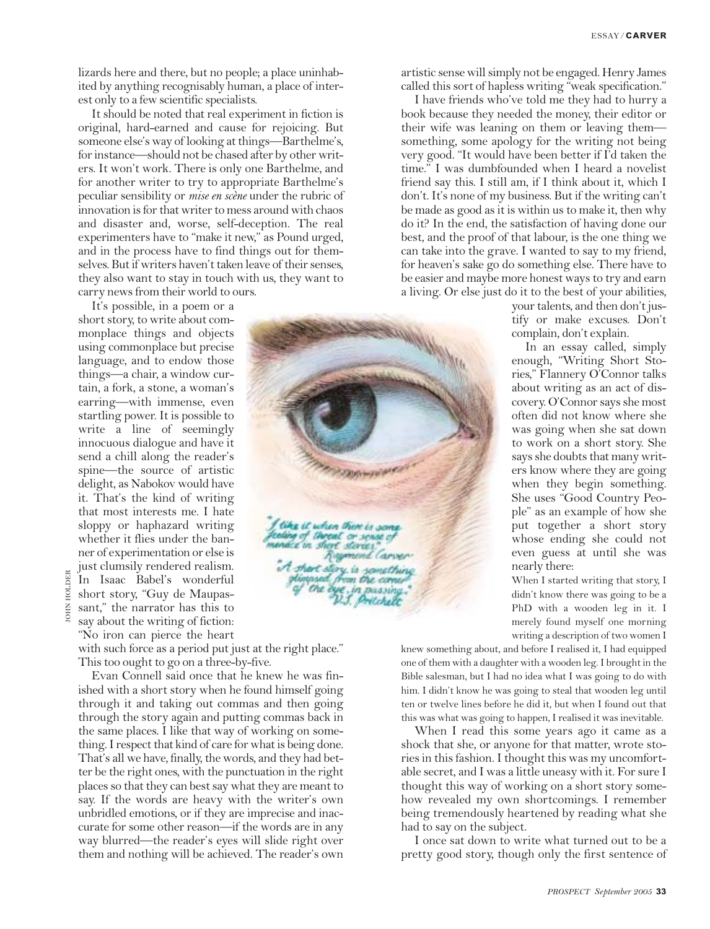lizards here and there, but no people; a place uninhabited by anything recognisably human, a place of interest only to a few scientific specialists.

It should be noted that real experiment in fiction is original, hard-earned and cause for rejoicing. But someone else's way of looking at things—Barthelme's, for instance—should not be chased after by other writers. It won't work. There is only one Barthelme, and for another writer to try to appropriate Barthelme's peculiar sensibility or *mise en scène* under the rubric of innovation is for that writer to mess around with chaos and disaster and, worse, self-deception. The real experimenters have to "make it new," as Pound urged, and in the process have to find things out for themselves. But if writers haven't taken leave of their senses, they also want to stay in touch with us, they want to carry news from their world to ours.

It's possible, in a poem or a short story, to write about commonplace things and objects using commonplace but precise language, and to endow those things—a chair, a window curtain, a fork, a stone, a woman's earring—with immense, even startling power. It is possible to write a line of seemingly innocuous dialogue and have it send a chill along the reader's spine—the source of artistic delight, as Nabokov would have it. That's the kind of writing that most interests me. I hate sloppy or haphazard writing whether it flies under the banner of experimentation or else is just clumsily rendered realism. In Isaac Babel's wonderful short story, "Guy de Maupas-

sant," the narrator has this to say about the writing of fiction: "No iron can pierce the heart

JOHN HOLDER

**JOHN** 

HOLDER

with such force as a period put just at the right place." This too ought to go on a three-by-five.

Evan Connell said once that he knew he was finished with a short story when he found himself going through it and taking out commas and then going through the story again and putting commas back in the same places. I like that way of working on something. I respect that kind of care for what is being done. That's all we have, finally, the words, and they had better be the right ones, with the punctuation in the right places so that they can best say what they are meant to say. If the words are heavy with the writer's own unbridled emotions, or if they are imprecise and inaccurate for some other reason—if the words are in any way blurred—the reader's eyes will slide right over them and nothing will be achieved. The reader's own

artistic sense will simply not be engaged. Henry James called this sort of hapless writing "weak specification."

I have friends who've told me they had to hurry a book because they needed the money, their editor or their wife was leaning on them or leaving them something, some apology for the writing not being very good. "It would have been better if I'd taken the time." I was dumbfounded when I heard a novelist friend say this. I still am, if I think about it, which I don't. It's none of my business. But if the writing can't be made as good as it is within us to make it, then why do it? In the end, the satisfaction of having done our best, and the proof of that labour, is the one thing we can take into the grave. I wanted to say to my friend, for heaven's sake go do something else. There have to be easier and maybe more honest ways to try and earn a living. Or else just do it to the best of your abilities,

your talents, and then don't justify or make excuses. Don't complain, don't explain. In an essay called, simply

enough, "Writing Short Stories," Flannery O'Connor talks about writing as an act of discovery. O'Connor says she most often did not know where she was going when she sat down to work on a short story. She says she doubts that many writers know where they are going when they begin something. She uses "Good Country People" as an example of how she put together a short story whose ending she could not even guess at until she was nearly there:

When I started writing that story, I didn't know there was going to be a PhD with a wooden leg in it. I merely found myself one morning writing a description of two women I

knew something about, and before I realised it, I had equipped one of them with a daughter with a wooden leg. I brought in the Bible salesman, but I had no idea what I was going to do with him. I didn't know he was going to steal that wooden leg until ten or twelve lines before he did it, but when I found out that this was what was going to happen, I realised it was inevitable.

When I read this some years ago it came as a shock that she, or anyone for that matter, wrote stories in this fashion. I thought this was my uncomfortable secret, and I was a little uneasy with it. For sure I thought this way of working on a short story somehow revealed my own shortcomings. I remember being tremendously heartened by reading what she had to say on the subject.

I once sat down to write what turned out to be a pretty good story, though only the first sentence of